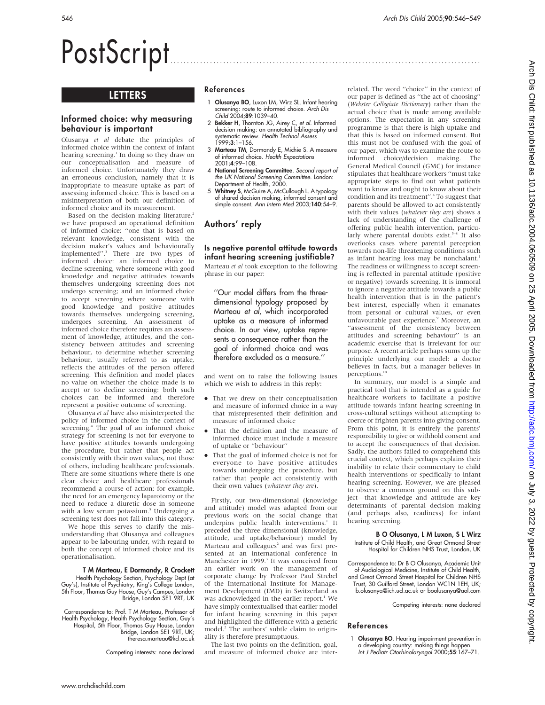# PostScript

# **LETTERS**

# Informed choice: why measuring behaviour is important

Olusanya et al debate the principles of informed choice within the context of infant hearing screening.<sup>1</sup> In doing so they draw on our conceptualisation and measure of informed choice. Unfortunately they draw an erroneous conclusion, namely that it is inappropriate to measure uptake as part of assessing informed choice. This is based on a misinterpretation of both our definition of informed choice and its measurement.

Based on the decision making literature,<sup>2</sup> we have proposed an operational definition of informed choice: ''one that is based on relevant knowledge, consistent with the decision maker's values and behaviourally implemented''.3 There are two types of informed choice: an informed choice to decline screening, where someone with good knowledge and negative attitudes towards themselves undergoing screening does not undergo screening; and an informed choice to accept screening where someone with good knowledge and positive attitudes towards themselves undergoing screening, undergoes screening. An assessment of informed choice therefore requires an assessment of knowledge, attitudes, and the consistency between attitudes and screening behaviour, to determine whether screening behaviour, usually referred to as uptake, reflects the attitudes of the person offered screening. This definition and model places no value on whether the choice made is to accept or to decline screening: both such choices can be informed and therefore represent a positive outcome of screening.

Olusanya et al have also misinterpreted the policy of informed choice in the context of screening.<sup>4</sup> The goal of an informed choice strategy for screening is not for everyone to have positive attitudes towards undergoing the procedure, but rather that people act consistently with their own values, not those of others, including healthcare professionals. There are some situations where there is one clear choice and healthcare professionals recommend a course of action; for example, the need for an emergency laparotomy or the need to reduce a diuretic dose in someone with a low serum potassium.<sup>5</sup> Undergoing a screening test does not fall into this category.

We hope this serves to clarify the misunderstanding that Olusanya and colleagues appear to be labouring under, with regard to both the concept of informed choice and its operationalisation.

## T M Marteau, E Dormandy, R Crockett

Health Psychology Section, Psychology Dept (at Guy's), Institute of Psychiatry, King's College London, 5th Floor, Thomas Guy House, Guy's Campus, London Bridge, London SE1 9RT, UK

Correspondence to: Prof. T M Marteau, Professor of Health Psychology, Health Psychology Section, Guy's Hospital, 5th Floor, Thomas Guy House, London Bridge, London SE1 9RT, UK; theresa.marteau@kcl.ac.uk

Competing interests: none declared

# References

- 1 Olusanya BO, Luxon LM, Wirz SL. Infant hearing screening: route to informed choice. *Arch Dis*<br>*Child* 2004;**89**:1039–40.
- 2 Bekker H, Thornton JG, Airey C, et al. Informed decision making: an annotated bibliography and systematic review. Health Technol Assess 1999;3:1–156.
- 3 Marteau TM, Dormandy E, Michie S. A measure of informed choice. Health Expectations 2001;4:99–108.
- 4 National Screening Committee. Second report of the UK National Screening Committee. London: Department of Health, 2000.
- 5 Whitney S, McGuire A, McCullough L. A typology of shared decision making, informed consent and simple consent. Ann Intern Med 2003;140:54–9.

# Authors' reply

Is negative parental attitude towards infant hearing screening justifiable? Marteau et al took exception to the following phrase in our paper:

''Our model differs from the threedimensional typology proposed by Marteau et al, which incorporated uptake as a measure of informed choice. In our view, uptake represents a consequence rather than the goal of informed choice and was therefore excluded as a measure.''

and went on to raise the following issues which we wish to address in this reply:

- That we drew on their conceptualisation and measure of informed choice in a way that misrepresented their definition and measure of informed choice
- That the definition and the measure of informed choice must include a measure of uptake or ''behaviour''
- That the goal of informed choice is not for everyone to have positive attitudes towards undergoing the procedure, but rather that people act consistently with their own values (whatever they are).

Firstly, our two-dimensional (knowledge and attitude) model was adapted from our previous work on the social change that underpins public health interventions.<sup>1</sup> It preceded the three dimensional (knowledge, attitude, and uptake/behaviour) model by Marteau and colleagues<sup>2</sup> and was first presented at an international conference in Manchester in 1999.<sup>3</sup> It was conceived from an earlier work on the management of corporate change by Professor Paul Strebel of the International Institute for Management Development (IMD) in Switzerland as was acknowledged in the earlier report.<sup>1</sup> We have simply contextualised that earlier model for infant hearing screening in this paper and highlighted the difference with a generic model.<sup>2</sup> The authors' subtle claim to originality is therefore presumptuous.

The last two points on the definition, goal, and measure of informed choice are inter-

related. The word ''choice'' in the context of our paper is defined as ''the act of choosing'' (Webster Collegiate Dictionary) rather than the actual choice that is made among available options. The expectation in any screening programme is that there is high uptake and that this is based on informed consent. But this must not be confused with the goal of our paper, which was to examine the route to informed choice/decision making. The General Medical Council (GMC) for instance stipulates that healthcare workers ''must take appropriate steps to find out what patients want to know and ought to know about their condition and its treatment''.<sup>4</sup> To suggest that parents should be allowed to act consistently with their values (whatever they are) shows a lack of understanding of the challenge of offering public health intervention, particularly where parental doubts exist.<sup>5-8</sup> It also overlooks cases where parental perception towards non-life threatening conditions such as infant hearing loss may be nonchalant.<sup>1</sup> The readiness or willingness to accept screening is reflected in parental attitude (positive or negative) towards screening. It is immoral to ignore a negative attitude towards a public health intervention that is in the patient's best interest, especially when it emanates from personal or cultural values, or even unfavourable past experience.<sup>9</sup> Moreover, an ''assessment of the consistency between attitudes and screening behaviour'' is an academic exercise that is irrelevant for our purpose. A recent article perhaps sums up the principle underlying our model: a doctor believes in facts, but a manager believes in perceptions.<sup>10</sup>

In summary, our model is a simple and practical tool that is intended as a guide for healthcare workers to facilitate a positive attitude towards infant hearing screening in cross-cultural settings without attempting to coerce or frighten parents into giving consent. From this point, it is entirely the parents' responsibility to give or withhold consent and to accept the consequences of that decision. Sadly, the authors failed to comprehend this crucial context, which perhaps explains their inability to relate their commentary to child health interventions or specifically to infant hearing screening. However, we are pleased to observe a common ground on this subject—that knowledge and attitude are key determinants of parental decision making (and perhaps also, readiness) for infant hearing screening.

#### B O Olusanya, L M Luxon, S L Wirz Institute of Child Health, and Great Ormond Street Hospital for Children NHS Trust, London, UK

Correspondence to: Dr B O Olusanya, Academic Unit of Audiological Medicine, Institute of Child Health, and Great Ormond Street Hospital for Children NHS Trust, 30 Guilford Street, London WC1N 1EH, UK; b.olusanya@ich.ucl.ac.uk or boolusanya@aol.com

Competing interests: none declared

## References

1 Olusanya BO. Hearing impairment prevention in a developing country: making things happen. Int J Pediatr Otorhinolaryngol 2000;55:167–71.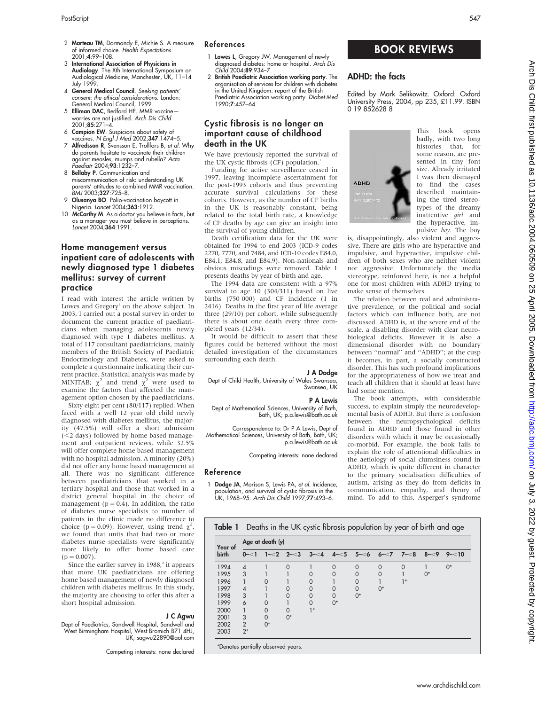- 2 Marteau TM, Dormandy E, Michie S. A measure of informed choice. Health Expectations 2001;4:99–108.
- 3 International Association of Physicians in Audiology. The Xth International Symposium on Audiological Medicine, Manchester, UK, 11–14 July 1999.
- 4 General Medical Council. Seeking patients' consent: the ethical considerations. London: General Medical Council, 1999.
- 5 Elliman DAC, Bedford HE. MMR vaccine worries are not justified. Arch Dis Child 2001;85:271–4.
- 6 Campion EW. Suspicions about safety of vaccines. N Engl J Med 2002;347:1474-5.
- 7 Alfredsson R, Svensson E, Trollfors B, et al. Why do parents hesitate to vaccinate their children against measles, mumps and rubella? Acta Paediatr 2004;93:1232–7.
- 8 Bellaby P. Communication and miscommunication of risk: understanding UK parents' attitudes to combined MMR vaccination. .<br>BMJ 2003:**327**:725-8.
- 9 Olusanya BO. Polio-vaccination boycott in Nigeria. Lancet 2004;363:1912.
- 10 McCarthy M. As a doctor you believe in facts, but as a manager you must believe in perceptions.<br>*Lancet* 2004;**364**:1991.

## Home management versus inpatient care of adolescents with newly diagnosed type 1 diabetes mellitus: survey of current practice

I read with interest the article written by Lowes and Gregory<sup>1</sup> on the above subject. In 2003, I carried out a postal survey in order to document the current practice of paediatricians when managing adolescents newly diagnosed with type 1 diabetes mellitus. A total of 117 consultant paediatricians, mainly members of the British Society of Paediatric Endocrinology and Diabetes, were asked to complete a questionnaire indicating their current practice. Statistical analysis was made by MINITAB;  $\chi^2$  and trend  $\chi^2$  were used to examine the factors that affected the management option chosen by the paediatricians.

Sixty eight per cent (80/117) replied. When faced with a well 12 year old child newly diagnosed with diabetes mellitus, the majority (47.5%) will offer a short admission  $(<$ 2 days) followed by home based management and outpatient reviews, while 32.5% will offer complete home based management with no hospital admission. A minority (20%) did not offer any home based management at all. There was no significant difference between paediatricians that worked in a tertiary hospital and those that worked in a district general hospital in the choice of management ( $p = 0.\overline{4}$ ). In addition, the ratio of diabetes nurse specialists to number of patients in the clinic made no difference to choice ( $p = 0.09$ ). However, using trend  $\chi^2$ , we found that units that had two or more diabetes nurse specialists were significantly more likely to offer home based care  $(p = 0.007)$ .

Since the earlier survey in  $1988$ ,<sup>2</sup> it appears that more UK paediatricians are offering home based management of newly diagnosed children with diabetes mellitus. In this study, the majority are choosing to offer this after a short hospital admission.

## J C Agwu

Dept of Paediatrics, Sandwell Hospital, Sandwell and West Birmingham Hospital, West Bromich B71 4HJ, UK; sagwu22890@aol.com

Competing interests: none declared

## References

- 1 Lowes L, Gregory JW. Management of newly diagnosed diabetes: home or hospital. Arch Dis Child 2004;89:934–7.
- 2 British Paediatric Association working party. The organisation of services for children with diabetes in the United Kingdom: report of the British Paediatric Association working party. Diabet Med 1990;7:457–64.

## Cystic fibrosis is no longer an important cause of childhood death in the UK

We have previously reported the survival of the UK cystic fibrosis (CF) population.<sup>1</sup>

Funding for active surveillance ceased in 1997, leaving incomplete ascertainment for the post-1993 cohorts and thus preventing accurate survival calculations for these cohorts. However, as the number of CF births in the UK is reasonably constant, being related to the total birth rate, a knowledge of CF deaths by age can give an insight into the survival of young children.

Death certification data for the UK were obtained for 1994 to end 2003 (ICD-9 codes 2270, 7770, and 7484, and ICD-10 codes E84.0, E84.1, E84.8, and E84.9). Non-nationals and obvious miscodings were removed. Table 1 presents deaths by year of birth and age.

The 1994 data are consistent with a 97% survival to age 10 (304/311) based on live births (750 000) and CF incidence (1 in 2416). Deaths in the first year of life average three (29/10) per cohort, while subsequently there is about one death every three completed years (12/34).

It would be difficult to assert that these figures could be bettered without the most detailed investigation of the circumstances surrounding each death.

#### J A Dodge

Dept of Child Health, University of Wales Swansea, Swansea, UK

#### P A Lewis

Dept of Mathematical Sciences, University of Bath, Bath, UK; p.a.lewis@bath.ac.uk

Correspondence to: Dr P A Lewis, Dept of Mathematical Sciences, University of Bath, Bath, UK; p.a.lewis@bath.ac.uk

Competing interests: none declared

### Reference

1 Dodge JA, Morison S, Lewis PA, et al. Incidence, population, and survival of cystic fibrosis in the UK, 1968–95. Arch Dis Child 1997;77:493–6.

# BOOK REVIEWS

## ADHD: the facts

Edited by Mark Selikowitz. Oxford: Oxford University Press, 2004, pp 235, £11.99. ISBN 0 19 852628 8

**ADHD** 

This book opens badly, with two long histories that, for some reason, are presented in tiny font size. Already irritated I was then dismayed to find the cases described maintaining the tired stereotypes of the dreamy inattentive girl and the hyperactive, impulsive boy. The boy

is, disappointingly, also violent and aggressive. There are girls who are hyperactive and impulsive, and hyperactive, impulsive children of both sexes who are neither violent nor aggressive. Unfortunately the media stereotype, reinforced here, is not a helpful one for most children with ADHD trying to make sense of themselves.

The relation between real and administrative prevalence, or the political and social factors which can influence both, are not discussed. ADHD is, at the severe end of the scale, a disabling disorder with clear neurobiological deficits. However it is also a dimensional disorder with no boundary between ''normal'' and ''ADHD''; at the cusp it becomes, in part, a socially constructed disorder. This has such profound implications for the appropriateness of how we treat and teach all children that it should at least have had some mention.

The book attempts, with considerable success, to explain simply the neurodevelopmental basis of ADHD. But there is confusion between the neuropsychological deficits found in ADHD and those found in other disorders with which it may be occasionally co-morbid. For example, the book fails to explain the role of attentional difficulties in the aetiology of social clumsiness found in ADHD, which is quite different in character to the primary socialisation difficulties of autism, arising as they do from deficits in communication, empathy, and theory of mind. To add to this, Asperger's syndrome

| Year of<br><b>birth</b> | Age at death (y)         |             |             |          |                                               |          |          |          |        |       |
|-------------------------|--------------------------|-------------|-------------|----------|-----------------------------------------------|----------|----------|----------|--------|-------|
|                         | $0 - 1$                  |             |             |          | 1-<2 2-<3 3-<4 4-<5 5-<6 6-<7 7-<8 8-<9 9-<10 |          |          |          |        |       |
| 1994                    | 4                        |             | Ω           |          | Ω                                             | 0        | $\Omega$ | $\Omega$ |        | $0^*$ |
| 1995                    | 3                        |             |             |          | $\Omega$                                      | O        | 0        |          | $()^*$ |       |
| 1996                    |                          |             |             |          |                                               |          |          | $1*$     |        |       |
| 1997                    | $\overline{\mathcal{A}}$ |             |             | 0        | 0                                             | $\Omega$ | $0^*$    |          |        |       |
| 1998                    | 3                        |             | 0           | 0        | $\Omega$                                      | $0^*$    |          |          |        |       |
| 1999                    | 6                        |             |             | $\Omega$ | $0^*$                                         |          |          |          |        |       |
| 2000                    |                          | 0           | $\mathbf 0$ | $1*$     |                                               |          |          |          |        |       |
| 2001                    | 3                        | $\mathbf 0$ | $0^*$       |          |                                               |          |          |          |        |       |
| 2002                    | $\overline{2}$           | $0^*$       |             |          |                                               |          |          |          |        |       |
| 2003                    | $2^*$                    |             |             |          |                                               |          |          |          |        |       |

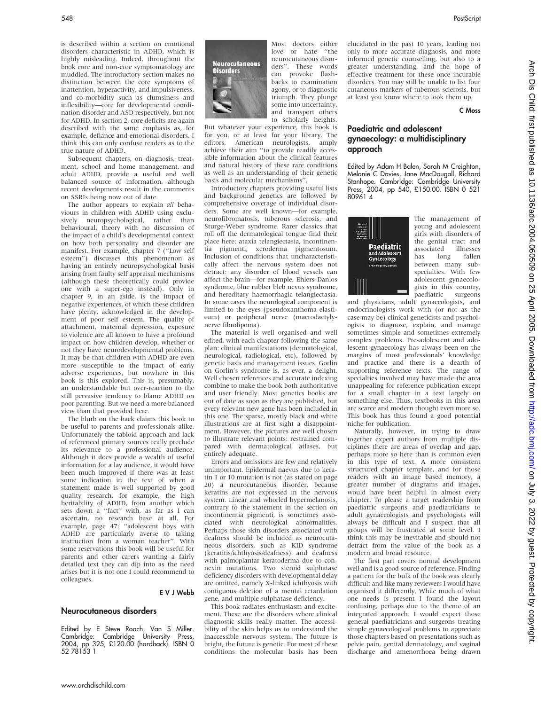is described within a section on emotional disorders characteristic in ADHD, which is highly misleading. Indeed, throughout the book core and non-core symptomatology are muddled. The introductory section makes no distinction between the core symptoms of inattention, hyperactivity, and impulsiveness, and co-morbidity such as clumsiness and inflexibility—core for developmental coordination disorder and ASD respectively, but not for ADHD. In section 2, core deficits are again described with the same emphasis as, for example, defiance and emotional disorders. I think this can only confuse readers as to the true nature of ADHD.

Subsequent chapters, on diagnosis, treatment, school and home management, and adult ADHD, provide a useful and well balanced source of information, although recent developments result in the comments on SSRIs being now out of date.

The author appears to explain all behaviours in children with ADHD using exclusively neuropsychological, rather than behavioural, theory with no discussion of the impact of a child's developmental context on how both personality and disorder are manifest. For example, chapter 7 (''Low self esteem'') discusses this phenomenon as having an entirely neuropsychological basis arising from faulty self appraisal mechanisms (although these theoretically could provide one with a super-ego instead). Only in chapter 9, in an aside, is the impact of negative experiences, of which these children have plenty, acknowledged in the development of poor self esteem. The quality of attachment, maternal depression, exposure to violence are all known to have a profound impact on how children develop, whether or not they have neurodevelopmental problems. It may be that children with ADHD are even more susceptible to the impact of early adverse experiences, but nowhere in this book is this explored. This is, presumably, an understandable but over-reaction to the still pervasive tendency to blame ADHD on poor parenting. But we need a more balanced view than that provided here.

The blurb on the back claims this book to be useful to parents and professionals alike. Unfortunately the tabloid approach and lack of referenced primary sources really preclude its relevance to a professional audience. Although it does provide a wealth of useful information for a lay audience, it would have been much improved if there was at least some indication in the text of when a statement made is well supported by good quality research, for example, the high heritability of ADHD, from another which sets down a "fact" with, as far as I can ascertain, no research base at all. For example, page 47: "adolescent boys with ADHD are particularly averse to taking instruction from a woman teacher''. With some reservations this book will be useful for parents and other carers wanting a fairly detailed text they can dip into as the need arises but it is not one I could recommend to colleagues.

# E V J Webb

## Neurocutaneous disorders

Edited by E Steve Roach, Van S Miller. Cambridge: Cambridge University Press, 2004, pp 325, £120.00 (hardback). ISBN 0 52 78153 1

Neurocutaneous<br>Disorders

Most doctors either love or hate ''the neurocutaneous disorders''. These words can provoke flashbacks to examination agony, or to diagnostic triumph. They plunge some into uncertainty, and transport others to scholarly heights.

But whatever your experience, this book is for you, or at least for your library. The editors, American neurologists, amply achieve their aim ''to provide readily accessible information about the clinical features and natural history of these rare conditions as well as an understanding of their genetic basis and molecular mechanisms''.

Introductory chapters providing useful lists and background genetics are followed by comprehensive coverage of individual disorders. Some are well known—for example, neurofibromatosis, tuberous sclerosis, and Sturge-Weber syndrome. Rarer classics that roll off the dermatological tongue find their place here: ataxia telangiectasia, incontinentia pigmenti, xeroderma pigmentosum. Inclusion of conditions that uncharacteristically affect the nervous system does not detract: any disorder of blood vessels can affect the brain—for example, Ehlers-Danlos syndrome, blue rubber bleb nevus syndrome, and hereditary haemorrhagic telangiectasia. In some cases the neurological component is limited to the eyes (pseudoxanthoma elasticum) or peripheral nerve (macrodactylynerve fibrolipoma).

The material is well organised and well edited, with each chapter following the same plan: clinical manifestations (dermatological, neurological, radiological, etc), followed by genetic basis and management issues. Gorlin on Gorlin's syndrome is, as ever, a delight. Well chosen references and accurate indexing combine to make the book both authoritative and user friendly. Most genetics books are out of date as soon as they are published, but every relevant new gene has been included in this one. The sparse, mostly black and white illustrations are at first sight a disappointment. However, the pictures are well chosen to illustrate relevant points: restrained compared with dermatological atlases, but entirely adequate.

Errors and omissions are few and relatively unimportant. Epidermal naevus due to keratin 1 or 10 mutation is not (as stated on page 20) a neurocutaneous disorder, because keratins are not expressed in the nervous system. Linear and whorled hypermelanosis, contrary to the statement in the section on incontinentia pigmenti, is sometimes associated with neurological abnormalities. Perhaps those skin disorders associated with deafness should be included as neurocutaneous disorders, such as KID syndrome (keratitis/ichthyosis/deafness) and deafness with palmoplantar keratoderma due to connexin mutations. Two steroid sulphatase deficiency disorders with developmental delay are omitted, namely X-linked ichthyosis with contiguous deletion of a mental retardation gene, and multiple sulphatase deficiency.

This book radiates enthusiasm and excitement. These are the disorders where clinical diagnostic skills really matter. The accessibility of the skin helps us to understand the inaccessible nervous system. The future is bright, the future is genetic. For most of these conditions the molecular basis has been

elucidated in the past 10 years, leading not only to more accurate diagnosis, and more informed genetic counselling, but also to a greater understanding, and the hope of effective treatment for these once incurable disorders. You may still be unable to list four cutaneous markers of tuberous sclerosis, but at least you know where to look them up.

C Moss

## Paediatric and adolescent gynaecology: a multidisciplinary approach

Edited by Adam H Balen, Sarah M Creighton, Melanie C Davies, Jane MacDougall, Richard Stanhope. Cambridge: Cambridge University Press, 2004, pp 540, £150.00. ISBN 0 521 80961 4



The management of young and adolescent girls with disorders of the genital tract and<br>associated illnesses associated has long fallen between many subspecialties. With few adolescent gynaecologists in this country, paediatric surgeons

and physicians, adult gynaecologists, and endocrinologists work with (or not as the case may be) clinical geneticists and psychologists to diagnose, explain, and manage sometimes simple and sometimes extremely complex problems. Pre-adolescent and adolescent gynaecology has always been on the margins of most professionals' knowledge and practice and there is a dearth of supporting reference texts. The range of specialties involved may have made the area unappealing for reference publication except for a small chapter in a text largely on something else. Thus, textbooks in this area are scarce and modern thought even more so. This book has thus found a good potential niche for publication.

Naturally, however, in trying to draw together expert authors from multiple disciplines there are areas of overlap and gap, perhaps more so here than is common even in this type of text. A more consistent structured chapter template, and for those readers with an image based memory, a greater number of diagrams and images, would have been helpful in almost every chapter. To please a target readership from paediatric surgeons and paediatricians to adult gynaecologists and psychologists will always be difficult and I suspect that all groups will be frustrated at some level. I think this may be inevitable and should not detract from the value of the book as a modern and broad resource.

The first part covers normal development well and is a good source of reference. Finding a pattern for the bulk of the book was clearly difficult and like many reviewers I would have organised it differently. While much of what one needs is present I found the layout confusing, perhaps due to the theme of an integrated approach. I would expect those general paediatricians and surgeons treating simple gynaecological problems to appreciate those chapters based on presentations such as pelvic pain, genital dermatology, and vaginal discharge and amenorrhoea being drawn